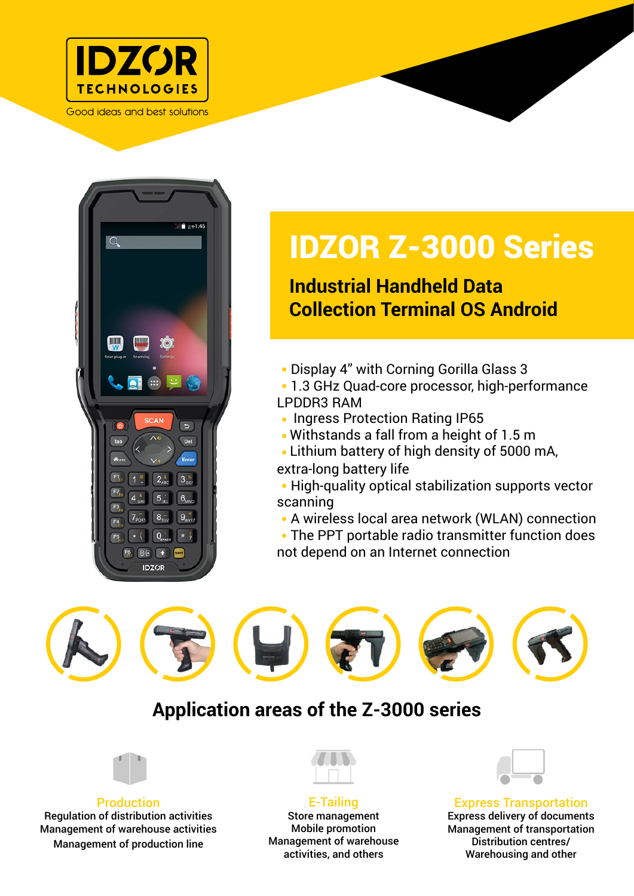

Good ideas and best solutions



# IDZOR Z-3000 Series

## **Industrial Handheld Data Collection Terminal OS Android**

Display 4" with Corning Gorilla Glass 3

 1.3 GHz Quad-core processor, high-performance LPDDR3 RAM

- Ingress Protection Rating IP65
- Withstands a fall from a height of 1.5 m
- Lithium battery of high density of 5000 mA, extra-long battery life

• High-quality optical stabilization supports vector scanning

A wireless local area network (WLAN) connection

 The PPT portable radio transmitter function does not depend on an Internet connection

## **Application areas of the Z-3000 series**



Production Regulation of distribution activities Management of warehouse activities Management of production line



E-Tailing Store management Mobile promotion Management of warehouse activities, and others



Express Transportation Express delivery of documents Management of transportation Distribution centres/ Warehousing and other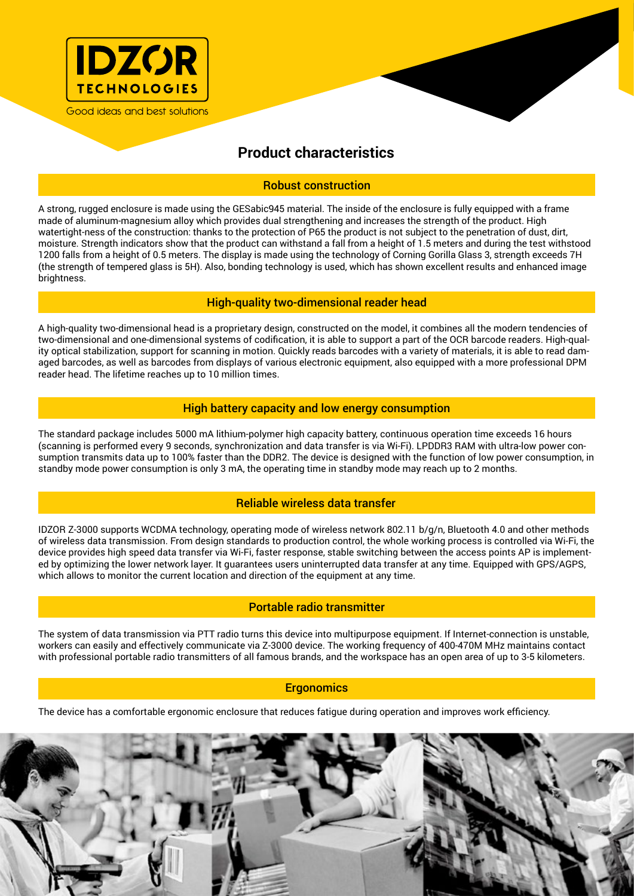

### **Product characteristics**

#### Robust construction

A strong, rugged enclosure is made using the GESabic945 material. The inside of the enclosure is fully equipped with a frame made of aluminum-magnesium alloy which provides dual strengthening and increases the strength of the product. High watertight-ness of the construction: thanks to the protection of P65 the product is not subject to the penetration of dust, dirt, moisture. Strength indicators show that the product can withstand a fall from a height of 1.5 meters and during the test withstood 1200 falls from a height of 0.5 meters. The display is made using the technology of Corning Gorilla Glass 3, strength exceeds 7H (the strength of tempered glass is 5H). Also, bonding technology is used, which has shown excellent results and enhanced image brightness.

#### High-quality two-dimensional reader head

A high-quality two-dimensional head is a proprietary design, constructed on the model, it combines all the modern tendencies of two-dimensional and one-dimensional systems of codification, it is able to support a part of the OCR barcode readers. High-quality optical stabilization, support for scanning in motion. Quickly reads barcodes with a variety of materials, it is able to read damaged barcodes, as well as barcodes from displays of various electronic equipment, also equipped with a more professional DPM reader head. The lifetime reaches up to 10 million times.

#### High battery capacity and low energy consumption

The standard package includes 5000 mA lithium-polymer high capacity battery, continuous operation time exceeds 16 hours (scanning is performed every 9 seconds, synchronization and data transfer is via Wi-Fi). LPDDR3 RAM with ultra-low power consumption transmits data up to 100% faster than the DDR2. The device is designed with the function of low power consumption, in standby mode power consumption is only 3 mA, the operating time in standby mode may reach up to 2 months.

#### Reliable wireless data transfer

IDZOR Z-3000 supports WCDMA technology, operating mode of wireless network 802.11 b/g/n, Bluetooth 4.0 and other methods of wireless data transmission. From design standards to production control, the whole working process is controlled via Wi-Fi, the device provides high speed data transfer via Wi-Fi, faster response, stable switching between the access points AP is implemented by optimizing the lower network layer. It guarantees users uninterrupted data transfer at any time. Equipped with GPS/AGPS, which allows to monitor the current location and direction of the equipment at any time.

#### Portable radio transmitter

The system of data transmission via PTT radio turns this device into multipurpose equipment. If Internet-connection is unstable, workers can easily and effectively communicate via Z-3000 device. The working frequency of 400-470M MHz maintains contact with professional portable radio transmitters of all famous brands, and the workspace has an open area of up to 3-5 kilometers.

#### **Ergonomics**

The device has a comfortable ergonomic enclosure that reduces fatigue during operation and improves work efficiency.

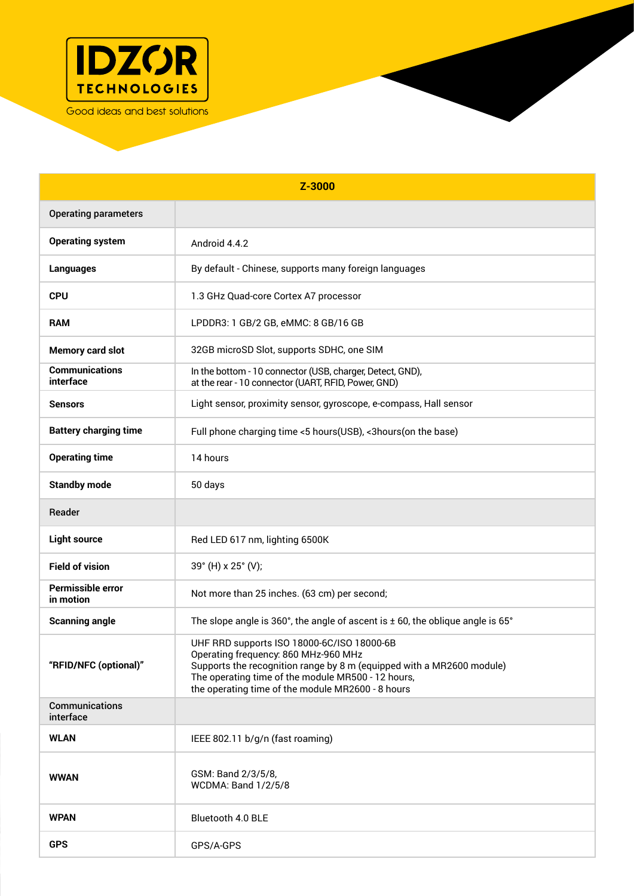

| Z-3000                                |                                                                                                                                                                                                                                                                        |
|---------------------------------------|------------------------------------------------------------------------------------------------------------------------------------------------------------------------------------------------------------------------------------------------------------------------|
| <b>Operating parameters</b>           |                                                                                                                                                                                                                                                                        |
| <b>Operating system</b>               | Android 4.4.2                                                                                                                                                                                                                                                          |
| <b>Languages</b>                      | By default - Chinese, supports many foreign languages                                                                                                                                                                                                                  |
| <b>CPU</b>                            | 1.3 GHz Quad-core Cortex A7 processor                                                                                                                                                                                                                                  |
| <b>RAM</b>                            | LPDDR3: 1 GB/2 GB, eMMC: 8 GB/16 GB                                                                                                                                                                                                                                    |
| <b>Memory card slot</b>               | 32GB microSD Slot, supports SDHC, one SIM                                                                                                                                                                                                                              |
| <b>Communications</b><br>interface    | In the bottom - 10 connector (USB, charger, Detect, GND),<br>at the rear - 10 connector (UART, RFID, Power, GND)                                                                                                                                                       |
| <b>Sensors</b>                        | Light sensor, proximity sensor, gyroscope, e-compass, Hall sensor                                                                                                                                                                                                      |
| <b>Battery charging time</b>          | Full phone charging time <5 hours(USB), <3 hours(on the base)                                                                                                                                                                                                          |
| <b>Operating time</b>                 | 14 hours                                                                                                                                                                                                                                                               |
| <b>Standby mode</b>                   | 50 days                                                                                                                                                                                                                                                                |
| Reader                                |                                                                                                                                                                                                                                                                        |
| <b>Light source</b>                   | Red LED 617 nm, lighting 6500K                                                                                                                                                                                                                                         |
| <b>Field of vision</b>                | 39° (H) x 25° (V);                                                                                                                                                                                                                                                     |
| <b>Permissible error</b><br>in motion | Not more than 25 inches. (63 cm) per second;                                                                                                                                                                                                                           |
| <b>Scanning angle</b>                 | The slope angle is 360°, the angle of ascent is $\pm$ 60, the oblique angle is 65°                                                                                                                                                                                     |
| "RFID/NFC (optional)"                 | UHF RRD supports ISO 18000-6C/ISO 18000-6B<br>Operating frequency: 860 MHz-960 MHz<br>Supports the recognition range by 8 m (equipped with a MR2600 module)<br>The operating time of the module MR500 - 12 hours,<br>the operating time of the module MR2600 - 8 hours |
| Communications<br>interface           |                                                                                                                                                                                                                                                                        |
| <b>WLAN</b>                           | IEEE 802.11 b/g/n (fast roaming)                                                                                                                                                                                                                                       |
| <b>WWAN</b>                           | GSM: Band 2/3/5/8,<br><b>WCDMA: Band 1/2/5/8</b>                                                                                                                                                                                                                       |
| <b>WPAN</b>                           | Bluetooth 4.0 BLE                                                                                                                                                                                                                                                      |
| <b>GPS</b>                            | GPS/A-GPS                                                                                                                                                                                                                                                              |